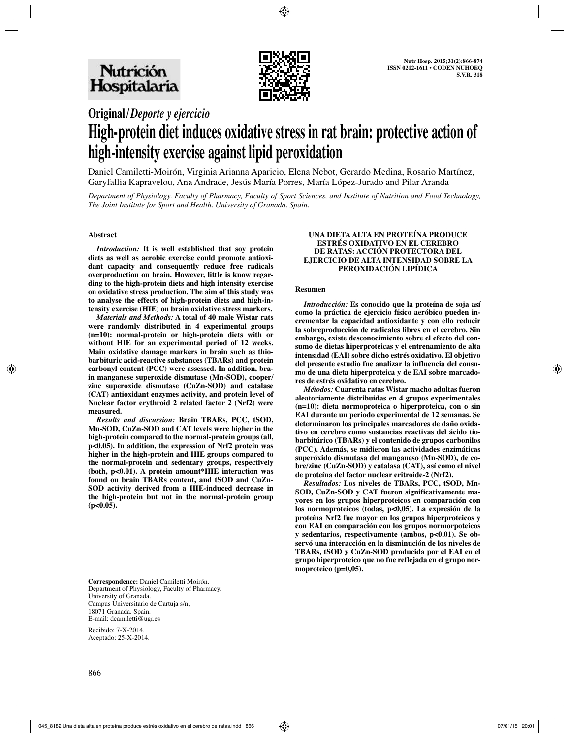

## **Original/***Deporte y ejercicio*

# **High-protein diet induces oxidative stress in rat brain: protective action of high-intensity exercise against lipid peroxidation**

Daniel Camiletti-Moirón, Virginia Arianna Aparicio, Elena Nebot, Gerardo Medina, Rosario Martínez, Garyfallia Kapravelou, Ana Andrade, Jesús María Porres, María López-Jurado and Pilar Aranda

*Department of Physiology. Faculty of Pharmacy, Faculty of Sport Sciences, and Institute of Nutrition and Food Technology, The Joint Institute for Sport and Health. University of Granada. Spain.*

#### **Abstract**

*Introduction:* **It is well established that soy protein diets as well as aerobic exercise could promote antioxidant capacity and consequently reduce free radicals overproduction on brain. However, little is know regarding to the high-protein diets and high intensity exercise on oxidative stress production. The aim of this study was to analyse the effects of high-protein diets and high-intensity exercise (HIE) on brain oxidative stress markers.** 

*Materials and Methods:* **A total of 40 male Wistar rats were randomly distributed in 4 experimental groups (n=10): normal-protein or high-protein diets with or without HIE for an experimental period of 12 weeks. Main oxidative damage markers in brain such as thiobarbituric acid-reactive substances (TBARs) and protein carbonyl content (PCC) were assessed. In addition, brain manganese superoxide dismutase (Mn-SOD), cooper/ zinc superoxide dismutase (CuZn-SOD) and catalase (CAT) antioxidant enzymes activity, and protein level of Nuclear factor erythroid 2 related factor 2 (Nrf2) were measured.** 

*Results and discussion:* **Brain TBARs, PCC, tSOD, Mn-SOD, CuZn-SOD and CAT levels were higher in the high-protein compared to the normal-protein groups (all, p<0.05). In addition, the expression of Nrf2 protein was higher in the high-protein and HIE groups compared to the normal-protein and sedentary groups, respectively (both, p<0.01). A protein amount\*HIE interaction was found on brain TBARs content, and tSOD and CuZn-SOD activity derived from a HIE-induced decrease in the high-protein but not in the normal-protein group (p<0.05).** 

**UNA DIETA ALTA EN PROTEÍNA PRODUCE ESTRÉS OXIDATIVO EN EL CEREBRO DE RATAS: ACCIÓN PROTECTORA DEL EJERCICIO DE ALTA INTENSIDAD SOBRE LA PEROXIDACIÓN LIPÍDICA**

#### **Resumen**

*Introducción:* **Es conocido que la proteína de soja así como la práctica de ejercicio físico aeróbico pueden incrementar la capacidad antioxidante y con ello reducir la sobreproducción de radicales libres en el cerebro. Sin embargo, existe desconocimiento sobre el efecto del consumo de dietas hiperproteicas y el entrenamiento de alta intensidad (EAI) sobre dicho estrés oxidativo. El objetivo del presente estudio fue analizar la influencia del consumo de una dieta hiperproteica y de EAI sobre marcadores de estrés oxidativo en cerebro.** 

*Métodos:* **Cuarenta ratas Wistar macho adultas fueron aleatoriamente distribuidas en 4 grupos experimentales (n=10): dieta normoproteica o hiperproteica, con o sin EAI durante un periodo experimental de 12 semanas. Se determinaron los principales marcadores de daño oxidativo en cerebro como sustancias reactivas del ácido tiobarbitúrico (TBARs) y el contenido de grupos carbonilos (PCC). Además, se midieron las actividades enzimáticas superóxido dismutasa del manganeso (Mn-SOD), de cobre/zinc (CuZn-SOD) y catalasa (CAT), así como el nivel de proteína del factor nuclear eritroide-2 (Nrf2).** 

*Resultados:* **Los niveles de TBARs, PCC, tSOD, Mn-SOD, CuZn-SOD y CAT fueron significativamente mayores en los grupos hiperproteicos en comparación con los normoproteicos (todas, p<0,05). La expresión de la proteína Nrf2 fue mayor en los grupos hiperproteicos y con EAI en comparación con los grupos normorpoteicos y sedentarios, respectivamente (ambos, p<0,01). Se observó una interacción en la disminución de los niveles de TBARs, tSOD y CuZn-SOD producida por el EAI en el grupo hiperproteico que no fue reflejada en el grupo normoproteico (p=0,05).** 

**Correspondence:** Daniel Camiletti Moirón. Department of Physiology, Faculty of Pharmacy. University of Granada. Campus Universitario de Cartuja s/n, 18071 Granada. Spain. E-mail: dcamiletti@ugr.es

Recibido: 7-X-2014. Aceptado: 25-X-2014.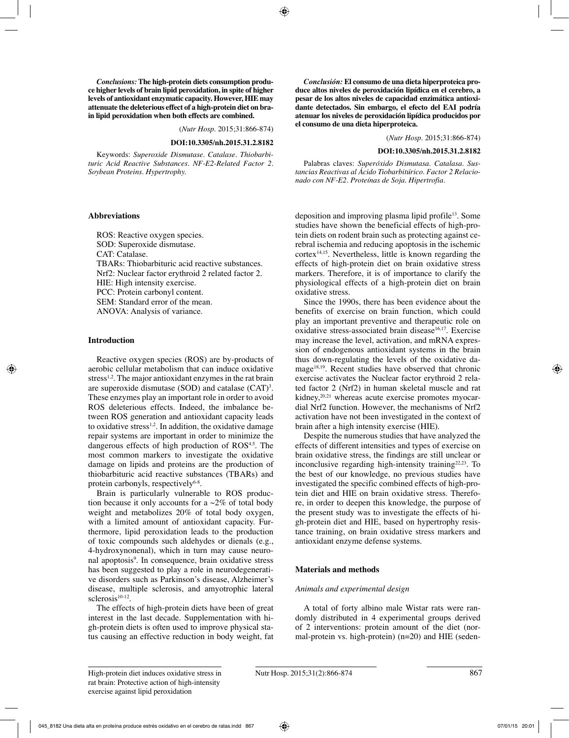*Conclusions:* **The high-protein diets consumption produce higher levels of brain lipid peroxidation, in spite of higher levels of antioxidant enzymatic capacity. However, HIE may attenuate the deleterious effect of a high-protein diet on brain lipid peroxidation when both effects are combined.**

(*Nutr Hosp.* 2015;31:866-874)

#### **DOI:10.3305/nh.2015.31.2.8182**

Keywords: *Superoxide Dismutase. Catalase. Thiobarbituric Acid Reactive Substances. NF-E2-Related Factor 2. Soybean Proteins. Hypertrophy.*

#### **Abbreviations**

ROS: Reactive oxygen species. SOD: Superoxide dismutase. CAT: Catalase. TBARs: Thiobarbituric acid reactive substances. Nrf2: Nuclear factor erythroid 2 related factor 2. HIE: High intensity exercise. PCC: Protein carbonyl content. SEM: Standard error of the mean. ANOVA: Analysis of variance.

#### **Introduction**

Reactive oxygen species (ROS) are by-products of aerobic cellular metabolism that can induce oxidative stress<sup>1,2</sup>. The major antioxidant enzymes in the rat brain are superoxide dismutase  $(SOD)$  and catalase  $(CAT)^3$ . These enzymes play an important role in order to avoid ROS deleterious effects. Indeed, the imbalance between ROS generation and antioxidant capacity leads to oxidative stress<sup>1,2</sup>. In addition, the oxidative damage repair systems are important in order to minimize the dangerous effects of high production of  $ROS<sup>4,5</sup>$ . The most common markers to investigate the oxidative damage on lipids and proteins are the production of thiobarbituric acid reactive substances (TBARs) and protein carbonyls, respectively $6-8$ .

Brain is particularly vulnerable to ROS production because it only accounts for a  $\sim$ 2% of total body weight and metabolizes 20% of total body oxygen, with a limited amount of antioxidant capacity. Furthermore, lipid peroxidation leads to the production of toxic compounds such aldehydes or dienals (e.g., 4-hydroxynonenal), which in turn may cause neuronal apoptosis<sup>9</sup>. In consequence, brain oxidative stress has been suggested to play a role in neurodegenerative disorders such as Parkinson's disease, Alzheimer's disease, multiple sclerosis, and amyotrophic lateral sclerosis<sup>10-12</sup>.

The effects of high-protein diets have been of great interest in the last decade. Supplementation with high-protein diets is often used to improve physical status causing an effective reduction in body weight, fat

*Conclusión:* **El consumo de una dieta hiperproteica produce altos niveles de peroxidación lipídica en el cerebro, a pesar de los altos niveles de capacidad enzimática antioxidante detectados. Sin embargo, el efecto del EAI podría atenuar los niveles de peroxidación lipídica producidos por el consumo de una dieta hiperproteica.** 

(*Nutr Hosp.* 2015;31:866-874)

#### **DOI:10.3305/nh.2015.31.2.8182**

Palabras claves: *Superóxido Dismutasa. Catalasa. Sustancias Reactivas al Ácido Tiobarbitúrico. Factor 2 Relacionado con NF-E2. Proteínas de Soja. Hipertrofia.*

deposition and improving plasma lipid profile13. Some studies have shown the beneficial effects of high-protein diets on rodent brain such as protecting against cerebral ischemia and reducing apoptosis in the ischemic  $cortex<sup>14,15</sup>$ . Nevertheless, little is known regarding the effects of high-protein diet on brain oxidative stress markers. Therefore, it is of importance to clarify the physiological effects of a high-protein diet on brain oxidative stress.

Since the 1990s, there has been evidence about the benefits of exercise on brain function, which could play an important preventive and therapeutic role on oxidative stress-associated brain disease<sup>16,17</sup>. Exercise may increase the level, activation, and mRNA expression of endogenous antioxidant systems in the brain thus down-regulating the levels of the oxidative damage<sup>18,19</sup>. Recent studies have observed that chronic exercise activates the Nuclear factor erythroid 2 related factor 2 (Nrf2) in human skeletal muscle and rat kidney,<sup>20,21</sup> whereas acute exercise promotes myocardial Nrf2 function. However, the mechanisms of Nrf2 activation have not been investigated in the context of brain after a high intensity exercise (HIE).

Despite the numerous studies that have analyzed the effects of different intensities and types of exercise on brain oxidative stress, the findings are still unclear or inconclusive regarding high-intensity training $2^{2,23}$ . To the best of our knowledge, no previous studies have investigated the specific combined effects of high-protein diet and HIE on brain oxidative stress. Therefore, in order to deepen this knowledge, the purpose of the present study was to investigate the effects of high-protein diet and HIE, based on hypertrophy resistance training, on brain oxidative stress markers and antioxidant enzyme defense systems.

#### **Materials and methods**

#### *Animals and experimental design*

A total of forty albino male Wistar rats were randomly distributed in 4 experimental groups derived of 2 interventions: protein amount of the diet (normal-protein vs. high-protein) (n=20) and HIE (seden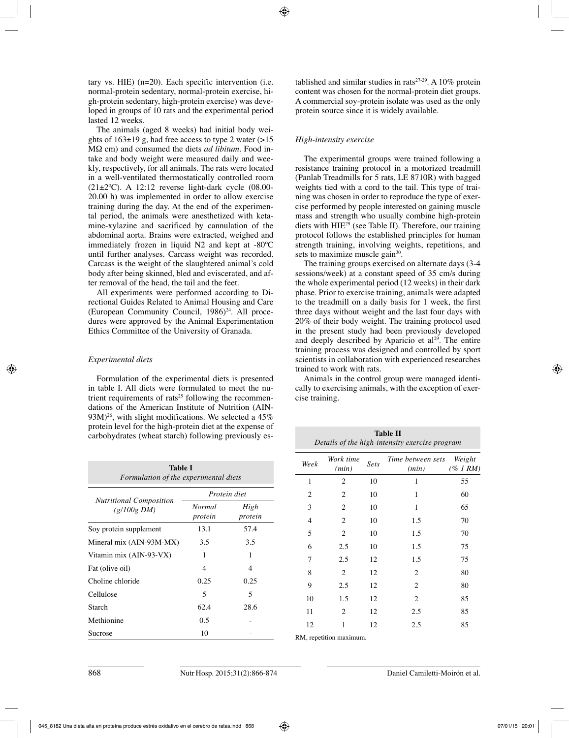tary vs. HIE) (n=20). Each specific intervention (i.e. normal-protein sedentary, normal-protein exercise, high-protein sedentary, high-protein exercise) was developed in groups of 10 rats and the experimental period lasted 12 weeks.

The animals (aged 8 weeks) had initial body weights of  $163\pm19$  g, had free access to type 2 water ( $>15$ ) MΩ cm) and consumed the diets *ad libitum*. Food intake and body weight were measured daily and weekly, respectively, for all animals. The rats were located in a well-ventilated thermostatically controlled room  $(21\pm2\degree C)$ . A 12:12 reverse light-dark cycle  $(08.00-$ 20.00 h) was implemented in order to allow exercise training during the day. At the end of the experimental period, the animals were anesthetized with ketamine-xylazine and sacrificed by cannulation of the abdominal aorta. Brains were extracted, weighed and immediately frozen in liquid N2 and kept at -80ºC until further analyses. Carcass weight was recorded. Carcass is the weight of the slaughtered animal's cold body after being skinned, bled and eviscerated, and after removal of the head, the tail and the feet.

All experiments were performed according to Directional Guides Related to Animal Housing and Care (European Community Council, 1986)<sup>24</sup>. All procedures were approved by the Animal Experimentation Ethics Committee of the University of Granada.

## *Experimental diets*

Formulation of the experimental diets is presented in table I. All diets were formulated to meet the nutrient requirements of rats<sup>25</sup> following the recommendations of the American Institute of Nutrition (AIN- $93M$ <sup>26</sup>, with slight modifications. We selected a  $45\%$ protein level for the high-protein diet at the expense of carbohydrates (wheat starch) following previously es-

| Table I<br>Formulation of the experimental diets |                          |                          |  |  |  |  |
|--------------------------------------------------|--------------------------|--------------------------|--|--|--|--|
|                                                  | Protein diet             |                          |  |  |  |  |
| <b>Nutritional Composition</b><br>$(g/100g\ DM)$ | <b>Normal</b><br>protein | High<br>protein          |  |  |  |  |
| Soy protein supplement                           | 13.1                     | 57.4                     |  |  |  |  |
| Mineral mix (AIN-93M-MX)                         | 3.5                      | 3.5                      |  |  |  |  |
| Vitamin mix (AIN-93-VX)                          | 1                        | 1                        |  |  |  |  |
| Fat (olive oil)                                  | 4                        | $\overline{\mathcal{A}}$ |  |  |  |  |
| Choline chloride                                 | 0.25                     | 0.25                     |  |  |  |  |
| Cellulose                                        | 5                        | 5                        |  |  |  |  |
| Starch                                           | 62.4                     | 28.6                     |  |  |  |  |
| Methionine                                       | 0.5                      |                          |  |  |  |  |
| Sucrose                                          | 10                       |                          |  |  |  |  |

tablished and similar studies in rats $27-29$ . A 10% protein content was chosen for the normal-protein diet groups. A commercial soy-protein isolate was used as the only protein source since it is widely available.

## *High-intensity exercise*

The experimental groups were trained following a resistance training protocol in a motorized treadmill (Panlab Treadmills for 5 rats, LE 8710R) with bagged weights tied with a cord to the tail. This type of training was chosen in order to reproduce the type of exercise performed by people interested on gaining muscle mass and strength who usually combine high-protein diets with HIE29 (see Table II). Therefore, our training protocol follows the established principles for human strength training, involving weights, repetitions, and sets to maximize muscle gain<sup>30</sup>.

The training groups exercised on alternate days (3-4 sessions/week) at a constant speed of 35 cm/s during the whole experimental period (12 weeks) in their dark phase. Prior to exercise training, animals were adapted to the treadmill on a daily basis for 1 week, the first three days without weight and the last four days with 20% of their body weight. The training protocol used in the present study had been previously developed and deeply described by Aparicio et  $al<sup>29</sup>$ . The entire training process was designed and controlled by sport scientists in collaboration with experienced researches trained to work with rats.

Animals in the control group were managed identically to exercising animals, with the exception of exercise training.

| <b>Table II</b><br>Details of the high-intensity exercise program |                    |             |                             |                       |  |  |  |
|-------------------------------------------------------------------|--------------------|-------------|-----------------------------|-----------------------|--|--|--|
| Week                                                              | Work time<br>(min) | <b>Sets</b> | Time between sets<br>(min)  | Weight<br>$(\%$ 1 RM) |  |  |  |
| 1                                                                 | $\overline{2}$     | 10          | 1                           | 55                    |  |  |  |
| 2                                                                 | 2                  | 10          | 1                           | 60                    |  |  |  |
| 3                                                                 | $\overline{2}$     | 10          | 1                           | 65                    |  |  |  |
| $\overline{4}$                                                    | $\overline{2}$     | 10          | 1.5                         | 70                    |  |  |  |
| 5                                                                 | $\overline{2}$     | 10          | 1.5                         | 70                    |  |  |  |
| 6                                                                 | 2.5                | 10          | 1.5                         | 75                    |  |  |  |
| 7                                                                 | 2.5                | 12          | 1.5                         | 75                    |  |  |  |
| 8                                                                 | $\overline{2}$     | 12          | 2                           | 80                    |  |  |  |
| 9                                                                 | 2.5                | 12          | $\mathcal{D}_{\mathcal{L}}$ | 80                    |  |  |  |
| 10                                                                | 1.5                | 12          | $\overline{c}$              | 85                    |  |  |  |
| 11                                                                | $\overline{2}$     | 12          | 2.5                         | 85                    |  |  |  |
| 12                                                                | 1                  | 12          | 2.5                         | 85                    |  |  |  |

RM, repetition maximum.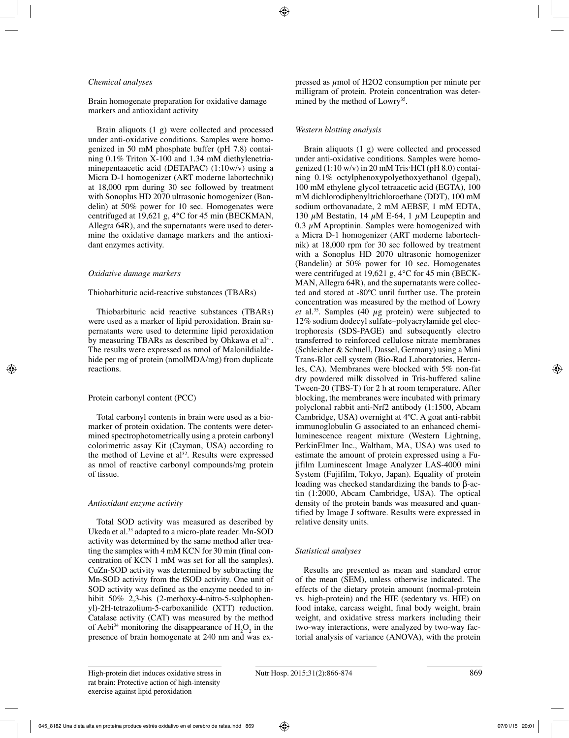#### *Chemical analyses*

Brain homogenate preparation for oxidative damage markers and antioxidant activity

Brain aliquots (1 g) were collected and processed under anti-oxidative conditions. Samples were homogenized in 50 mM phosphate buffer (pH 7.8) containing 0.1% Triton X-100 and 1.34 mM diethylenetriaminepentaacetic acid (DETAPAC) (1:10w/v) using a Micra D-1 homogenizer (ART moderne labortechnik) at 18,000 rpm during 30 sec followed by treatment with Sonoplus HD 2070 ultrasonic homogenizer (Bandelin) at 50% power for 10 sec. Homogenates were centrifuged at 19,621 g, 4°C for 45 min (BECKMAN, Allegra 64R), and the supernatants were used to determine the oxidative damage markers and the antioxidant enzymes activity.

#### *Oxidative damage markers*

#### Thiobarbituric acid-reactive substances (TBARs)

Thiobarbituric acid reactive substances (TBARs) were used as a marker of lipid peroxidation. Brain supernatants were used to determine lipid peroxidation by measuring TBARs as described by Ohkawa et al<sup>31</sup>. The results were expressed as nmol of Malonildialdehide per mg of protein (nmolMDA/mg) from duplicate reactions.

#### Protein carbonyl content (PCC)

Total carbonyl contents in brain were used as a biomarker of protein oxidation. The contents were determined spectrophotometrically using a protein carbonyl colorimetric assay Kit (Cayman, USA) according to the method of Levine et  $al^{32}$ . Results were expressed as nmol of reactive carbonyl compounds/mg protein of tissue.

#### *Antioxidant enzyme activity*

Total SOD activity was measured as described by Ukeda et al.<sup>33</sup> adapted to a micro-plate reader. Mn-SOD activity was determined by the same method after treating the samples with 4 mM KCN for 30 min (final concentration of KCN 1 mM was set for all the samples). CuZn-SOD activity was determined by subtracting the Mn-SOD activity from the tSOD activity. One unit of SOD activity was defined as the enzyme needed to inhibit 50% 2,3-bis (2-methoxy-4-nitro-5-sulphophenyl)-2H-tetrazolium-5-carboxanilide (XTT) reduction. Catalase activity (CAT) was measured by the method of Aebi<sup>34</sup> monitoring the disappearance of  $H_2O_2$  in the presence of brain homogenate at 240 nm and was expressed as  $\mu$ mol of H2O2 consumption per minute per milligram of protein. Protein concentration was determined by the method of Lowry<sup>35</sup>.

#### *Western blotting analysis*

Brain aliquots (1 g) were collected and processed under anti-oxidative conditions. Samples were homogenized (1:10 w/v) in 20 mM Tris·HCl (pH 8.0) containing 0.1% octylphenoxypolyethoxyethanol (lgepal), 100 mM ethylene glycol tetraacetic acid (EGTA), 100 mM dichlorodiphenyltrichloroethane (DDT), 100 mM sodium orthovanadate, 2 mM AEBSF, 1 mM EDTA, 130  $\mu$ M Bestatin, 14  $\mu$ M E-64, 1  $\mu$ M Leupeptin and  $0.3 \mu$ M Aproptinin. Samples were homogenized with a Micra D-1 homogenizer (ART moderne labortechnik) at 18,000 rpm for 30 sec followed by treatment with a Sonoplus HD 2070 ultrasonic homogenizer (Bandelin) at 50% power for 10 sec. Homogenates were centrifuged at 19,621 g, 4°C for 45 min (BECK-MAN, Allegra 64R), and the supernatants were collected and stored at -80ºC until further use. The protein concentration was measured by the method of Lowry *et* al.<sup>35</sup>. Samples (40  $\mu$ g protein) were subjected to 12% sodium dodecyl sulfate–polyacrylamide gel electrophoresis (SDS-PAGE) and subsequently electro transferred to reinforced cellulose nitrate membranes (Schleicher & Schuell, Dassel, Germany) using a Mini Trans-Blot cell system (Bio-Rad Laboratories, Hercules, CA). Membranes were blocked with 5% non-fat dry powdered milk dissolved in Tris-buffered saline Tween-20 (TBS-T) for 2 h at room temperature. After blocking, the membranes were incubated with primary polyclonal rabbit anti-Nrf2 antibody (1:1500, Abcam Cambridge, USA) overnight at 4ºC. A goat anti-rabbit immunoglobulin G associated to an enhanced chemiluminescence reagent mixture (Western Lightning, PerkinElmer Inc., Waltham, MA, USA) was used to estimate the amount of protein expressed using a Fujifilm Luminescent Image Analyzer LAS-4000 mini System (Fujifilm, Tokyo, Japan). Equality of protein loading was checked standardizing the bands to β-actin (1:2000, Abcam Cambridge, USA). The optical density of the protein bands was measured and quantified by Image J software. Results were expressed in relative density units.

#### *Statistical analyses*

Results are presented as mean and standard error of the mean (SEM), unless otherwise indicated. The effects of the dietary protein amount (normal-protein vs. high-protein) and the HIE (sedentary vs. HIE) on food intake, carcass weight, final body weight, brain weight, and oxidative stress markers including their two-way interactions, were analyzed by two-way factorial analysis of variance (ANOVA), with the protein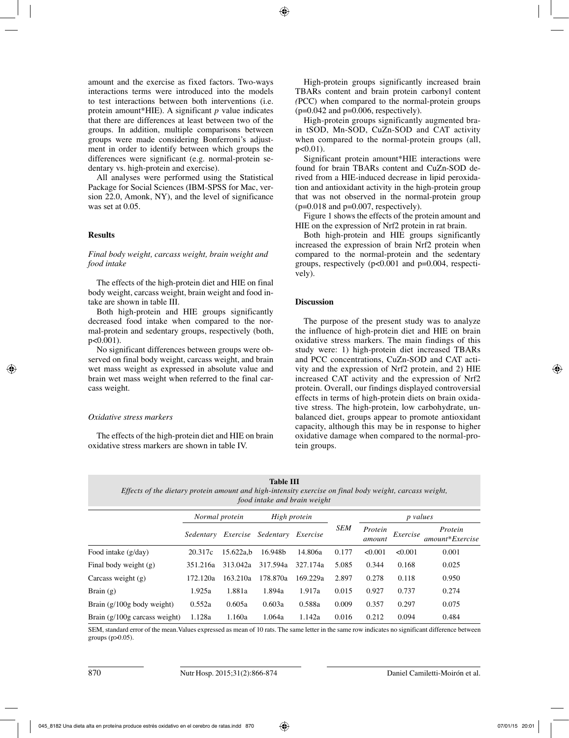amount and the exercise as fixed factors. Two-ways interactions terms were introduced into the models to test interactions between both interventions (i.e. protein amount\*HIE). A significant *p* value indicates that there are differences at least between two of the groups. In addition, multiple comparisons between groups were made considering Bonferroni's adjustment in order to identify between which groups the differences were significant (e.g. normal-protein sedentary vs. high-protein and exercise).

All analyses were performed using the Statistical Package for Social Sciences (IBM-SPSS for Mac, version 22.0, Amonk, NY), and the level of significance was set at 0.05.

## **Results**

#### *Final body weight, carcass weight, brain weight and food intake*

The effects of the high-protein diet and HIE on final body weight, carcass weight, brain weight and food intake are shown in table III.

Both high-protein and HIE groups significantly decreased food intake when compared to the normal-protein and sedentary groups, respectively (both, p<0.001).

No significant differences between groups were observed on final body weight, carcass weight, and brain wet mass weight as expressed in absolute value and brain wet mass weight when referred to the final carcass weight.

#### *Oxidative stress markers*

The effects of the high-protein diet and HIE on brain oxidative stress markers are shown in table IV.

High-protein groups significantly increased brain TBARs content and brain protein carbonyl content *(*PCC) when compared to the normal-protein groups  $(p=0.042$  and  $p=0.006$ , respectively).

High-protein groups significantly augmented brain tSOD, Mn-SOD, CuZn-SOD and CAT activity when compared to the normal-protein groups (all,  $p < 0.01$ ).

Significant protein amount\*HIE interactions were found for brain TBARs content and CuZn-SOD derived from a HIE-induced decrease in lipid peroxidation and antioxidant activity in the high-protein group that was not observed in the normal-protein group  $(p=0.018$  and  $p=0.007$ , respectively).

Figure 1 shows the effects of the protein amount and HIE on the expression of Nrf2 protein in rat brain.

Both high-protein and HIE groups significantly increased the expression of brain Nrf2 protein when compared to the normal-protein and the sedentary groups, respectively (p<0.001 and p=0.004, respectively).

## **Discussion**

The purpose of the present study was to analyze the influence of high-protein diet and HIE on brain oxidative stress markers. The main findings of this study were: 1) high-protein diet increased TBARs and PCC concentrations, CuZn-SOD and CAT activity and the expression of Nrf2 protein, and 2) HIE increased CAT activity and the expression of Nrf2 protein. Overall, our findings displayed controversial effects in terms of high-protein diets on brain oxidative stress. The high-protein, low carbohydrate, unbalanced diet, groups appear to promote antioxidant capacity, although this may be in response to higher oxidative damage when compared to the normal-protein groups.

**Table III**

*Effects of the dietary protein amount and high-intensity exercise on final body weight, carcass weight, food intake and brain weight*

|                                 | Normal protein |           | High protein       |          |            | <i>p</i> values   |          |                            |
|---------------------------------|----------------|-----------|--------------------|----------|------------|-------------------|----------|----------------------------|
|                                 | Sedentary      |           | Exercise Sedentary | Exercise | <b>SEM</b> | Protein<br>amount | Exercise | Protein<br>amount*Exercise |
| Food intake (g/day)             | 20.317c        | 15.622a.b | 16.948b            | 14.806a  | 0.177      | < 0.001           | < 0.001  | 0.001                      |
| Final body weight (g)           | 351.216a       | 313.042a  | 317.594a           | 327.174a | 5.085      | 0.344             | 0.168    | 0.025                      |
| Carcass weight $(g)$            | 172.120a       | 163.210a  | 178.870a           | 169.229a | 2.897      | 0.278             | 0.118    | 0.950                      |
| Brain $(g)$                     | 1.925a         | 1.881a    | 1.894a             | 1.917a   | 0.015      | 0.927             | 0.737    | 0.274                      |
| Brain $(g/100g$ body weight)    | 0.552a         | 0.605a    | 0.603a             | 0.588a   | 0.009      | 0.357             | 0.297    | 0.075                      |
| Brain $(g/100g$ carcass weight) | 1.128a         | 1.160a    | 1.064a             | 1.142a   | 0.016      | 0.212             | 0.094    | 0.484                      |

SEM, standard error of the mean.Values expressed as mean of 10 rats. The same letter in the same row indicates no significant difference between groups (p>0.05).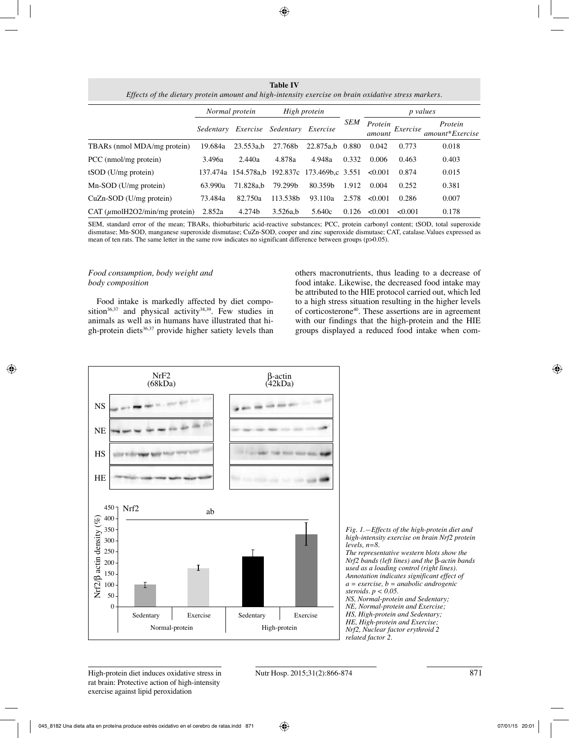**Table IV** *Effects of the dietary protein amount and high-intensity exercise on brain oxidative stress markers.*

|                                        | Normal protein |                     | High protein       |                           |            | <i>p</i> values   |          |                            |
|----------------------------------------|----------------|---------------------|--------------------|---------------------------|------------|-------------------|----------|----------------------------|
|                                        | Sedentary      |                     | Exercise Sedentary | Exercise                  | <b>SEM</b> | Protein<br>amount | Exercise | Protein<br>amount*Exercise |
| TBARs (nmol MDA/mg protein)            | 19.684a        | 23.553a.b           | 27.768b            | 22.875a.b                 | 0.880      | 0.042             | 0.773    | 0.018                      |
| PCC (nmol/mg protein)                  | 3.496a         | 2.440a              | 4.878a             | 4.948a                    | 0.332      | 0.006             | 0.463    | 0.403                      |
| $tSOD$ (U/mg protein)                  |                | 137.474a 154.578a.b |                    | 192.837c 173.469b,c 3.551 |            | $\leq 0.001$      | 0.874    | 0.015                      |
| $Mn-SOD$ (U/mg protein)                | 63.990a        | 71.828a.b           | 79.299b            | 80.359b                   | 1.912      | 0.004             | 0.252    | 0.381                      |
| $CuZn-SOD$ (U/mg protein)              | 73.484a        | 82.750a             | 113.538b           | 93.110a                   | 2.578      | < 0.001           | 0.286    | 0.007                      |
| CAT ( <i>µ</i> molH2O2/min/mg protein) | 2.852a         | 4.274b              | 3.526a,b           | 5.640c                    | 0.126      | < 0.001           | <0.001   | 0.178                      |

SEM, standard error of the mean; TBARs, thiobarbituric acid-reactive substances; PCC, protein carbonyl content; tSOD, total superoxide dismutase; Mn-SOD, manganese superoxide dismutase; CuZn-SOD, cooper and zinc superoxide dismutase; CAT, catalase.Values expressed as mean of ten rats. The same letter in the same row indicates no significant difference between groups (p>0.05).

#### *Food consumption, body weight and body composition*

Food intake is markedly affected by diet composition<sup>36,37</sup> and physical activity<sup>38,39</sup>. Few studies in animals as well as in humans have illustrated that high-protein diets $36,37$  provide higher satiety levels than others macronutrients, thus leading to a decrease of food intake. Likewise, the decreased food intake may be attributed to the HIE protocol carried out, which led to a high stress situation resulting in the higher levels of corticosterone40. These assertions are in agreement with our findings that the high-protein and the HIE groups displayed a reduced food intake when com-



*Fig. 1.—Effects of the high-protein diet and high-intensity exercise on brain Nrf2 protein levels, n=8. The representative western blots show the Nrf2 bands (left lines) and the* β*-actin bands used as a loading control (right lines). Annotation indicates significant effect of a = exercise, b = anabolic androgenic steroids. p < 0.05. NS, Normal-protein and Sedentary; NE, Normal-protein and Exercise; HS, High-protein and Sedentary; HE, High-protein and Exercise; Nrf2, Nuclear factor erythroid 2 related factor 2.*

High-protein diet induces oxidative stress in Nutr Hosp. 2015;31(2):866-874 871 rat brain: Protective action of high-intensity exercise against lipid peroxidation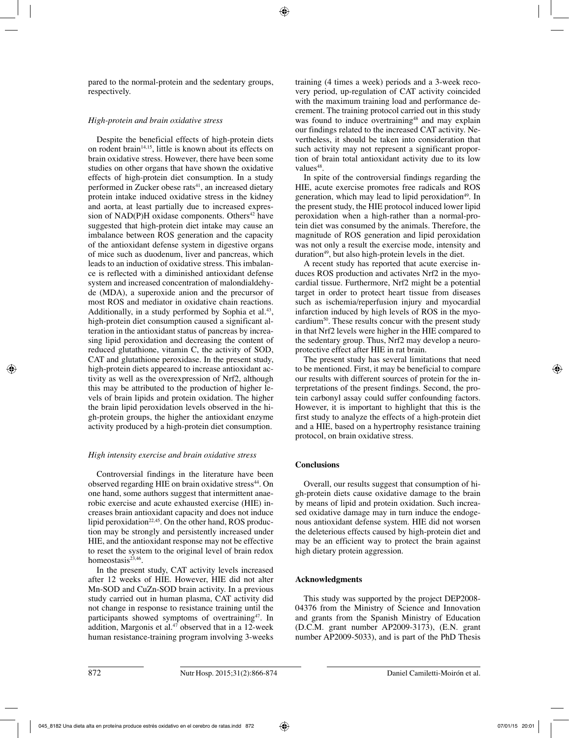pared to the normal-protein and the sedentary groups, respectively.

## *High-protein and brain oxidative stress*

Despite the beneficial effects of high-protein diets on rodent brain<sup>14,15</sup>, little is known about its effects on brain oxidative stress. However, there have been some studies on other organs that have shown the oxidative effects of high-protein diet consumption. In a study performed in Zucker obese rats<sup>41</sup>, an increased dietary protein intake induced oxidative stress in the kidney and aorta, at least partially due to increased expression of  $NAD(P)H$  oxidase components. Others<sup>42</sup> have suggested that high-protein diet intake may cause an imbalance between ROS generation and the capacity of the antioxidant defense system in digestive organs of mice such as duodenum, liver and pancreas, which leads to an induction of oxidative stress. This imbalance is reflected with a diminished antioxidant defense system and increased concentration of malondialdehyde (MDA), a superoxide anion and the precursor of most ROS and mediator in oxidative chain reactions. Additionally, in a study performed by Sophia et al.<sup>43</sup>, high-protein diet consumption caused a significant alteration in the antioxidant status of pancreas by increasing lipid peroxidation and decreasing the content of reduced glutathione, vitamin C, the activity of SOD, CAT and glutathione peroxidase. In the present study, high-protein diets appeared to increase antioxidant activity as well as the overexpression of Nrf2, although this may be attributed to the production of higher levels of brain lipids and protein oxidation. The higher the brain lipid peroxidation levels observed in the high-protein groups, the higher the antioxidant enzyme activity produced by a high-protein diet consumption.

## *High intensity exercise and brain oxidative stress*

Controversial findings in the literature have been observed regarding HIE on brain oxidative stress<sup>44</sup>. On one hand, some authors suggest that intermittent anaerobic exercise and acute exhausted exercise (HIE) increases brain antioxidant capacity and does not induce lipid peroxidation<sup>22,45</sup>. On the other hand, ROS production may be strongly and persistently increased under HIE, and the antioxidant response may not be effective to reset the system to the original level of brain redox homeostasis<sup>23,46</sup>.

In the present study, CAT activity levels increased after 12 weeks of HIE. However, HIE did not alter Mn-SOD and CuZn-SOD brain activity. In a previous study carried out in human plasma, CAT activity did not change in response to resistance training until the participants showed symptoms of overtraining47. In addition, Margonis et al.<sup>47</sup> observed that in a 12-week human resistance-training program involving 3-weeks

training (4 times a week) periods and a 3-week recovery period, up-regulation of CAT activity coincided with the maximum training load and performance decrement. The training protocol carried out in this study was found to induce overtraining<sup>48</sup> and may explain our findings related to the increased CAT activity. Nevertheless, it should be taken into consideration that such activity may not represent a significant proportion of brain total antioxidant activity due to its low values<sup>48</sup>.

In spite of the controversial findings regarding the HIE, acute exercise promotes free radicals and ROS generation, which may lead to lipid peroxidation<sup>49</sup>. In the present study, the HIE protocol induced lower lipid peroxidation when a high-rather than a normal-protein diet was consumed by the animals. Therefore, the magnitude of ROS generation and lipid peroxidation was not only a result the exercise mode, intensity and duration $49$ , but also high-protein levels in the diet.

A recent study has reported that acute exercise induces ROS production and activates Nrf2 in the myocardial tissue. Furthermore, Nrf2 might be a potential target in order to protect heart tissue from diseases such as ischemia/reperfusion injury and myocardial infarction induced by high levels of ROS in the myocardium50. These results concur with the present study in that Nrf2 levels were higher in the HIE compared to the sedentary group. Thus, Nrf2 may develop a neuroprotective effect after HIE in rat brain.

The present study has several limitations that need to be mentioned. First, it may be beneficial to compare our results with different sources of protein for the interpretations of the present findings. Second, the protein carbonyl assay could suffer confounding factors. However, it is important to highlight that this is the first study to analyze the effects of a high-protein diet and a HIE, based on a hypertrophy resistance training protocol, on brain oxidative stress.

## **Conclusions**

Overall, our results suggest that consumption of high-protein diets cause oxidative damage to the brain by means of lipid and protein oxidation. Such increased oxidative damage may in turn induce the endogenous antioxidant defense system. HIE did not worsen the deleterious effects caused by high-protein diet and may be an efficient way to protect the brain against high dietary protein aggression.

## **Acknowledgments**

This study was supported by the project DEP2008- 04376 from the Ministry of Science and Innovation and grants from the Spanish Ministry of Education (D.C.M. grant number AP2009-3173), (E.N. grant number AP2009-5033), and is part of the PhD Thesis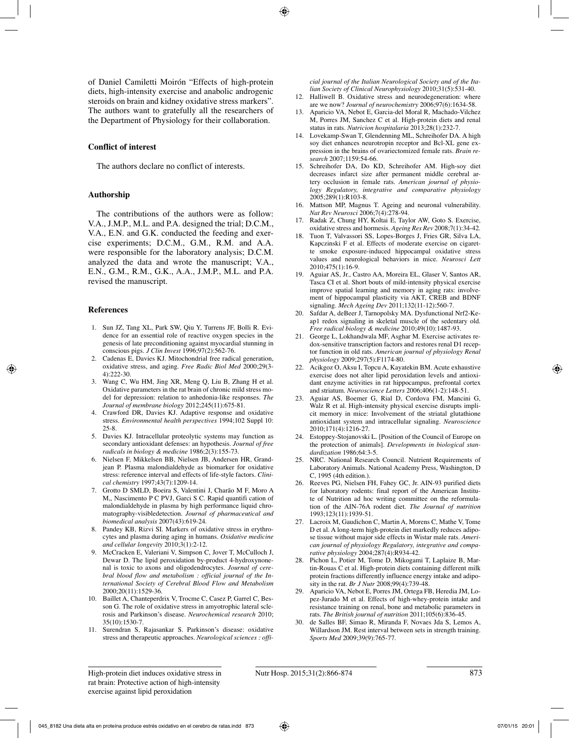of Daniel Camiletti Moirón "Effects of high-protein diets, high-intensity exercise and anabolic androgenic steroids on brain and kidney oxidative stress markers". The authors want to gratefully all the researchers of the Department of Physiology for their collaboration.

#### **Conflict of interest**

The authors declare no conflict of interests.

#### **Authorship**

The contributions of the authors were as follow: V.A., J.M.P., M.L. and P.A. designed the trial; D.C.M., V.A., E.N. and G.K. conducted the feeding and exercise experiments; D.C.M., G.M., R.M. and A.A. were responsible for the laboratory analysis; D.C.M. analyzed the data and wrote the manuscript; V.A., E.N., G.M., R.M., G.K., A.A., J.M.P., M.L. and P.A. revised the manuscript.

#### **References**

- 1. Sun JZ, Tang XL, Park SW, Qiu Y, Turrens JF, Bolli R. Evidence for an essential role of reactive oxygen species in the genesis of late preconditioning against myocardial stunning in conscious pigs. *J Clin Invest* 1996;97(2):562-76.
- 2. Cadenas E, Davies KJ. Mitochondrial free radical generation, oxidative stress, and aging. *Free Radic Biol Med* 2000;29(3- 4):222-30.
- 3. Wang C, Wu HM, Jing XR, Meng Q, Liu B, Zhang H et al. Oxidative parameters in the rat brain of chronic mild stress model for depression: relation to anhedonia-like responses. *The Journal of membrane biology* 2012;245(11):675-81.
- 4. Crawford DR, Davies KJ. Adaptive response and oxidative stress. *Environmental health perspectives* 1994;102 Suppl 10: 25-8.
- 5. Davies KJ. Intracellular proteolytic systems may function as secondary antioxidant defenses: an hypothesis. *Journal of free radicals in biology & medicine* 1986;2(3):155-73.
- 6. Nielsen F, Mikkelsen BB, Nielsen JB, Andersen HR, Grandjean P. Plasma malondialdehyde as biomarker for oxidative stress: reference interval and effects of life-style factors. *Clinical chemistry* 1997;43(7):1209-14.
- 7. Grotto D SMLD, Boeira S, Valentini J, Charão M F, Moro A M,, Nascimento P C PVJ, Garci S C. Rapid quantifi cation of malondialdehyde in plasma by high performance liquid chromatography-visibledetection. *Journal of pharmaceutical and biomedical analysis* 2007(43):619-24.
- 8. Pandey KB, Rizvi SI. Markers of oxidative stress in erythrocytes and plasma during aging in humans. *Oxidative medicine and cellular longevity* 2010;3(1):2-12.
- 9. McCracken E, Valeriani V, Simpson C, Jover T, McCulloch J, Dewar D. The lipid peroxidation by-product 4-hydroxynonenal is toxic to axons and oligodendrocytes. *Journal of cerebral blood flow and metabolism : official journal of the International Society of Cerebral Blood Flow and Metabolism* 2000;20(11):1529-36.
- 10. Baillet A, Chanteperdrix V, Trocme C, Casez P, Garrel C, Besson G. The role of oxidative stress in amyotrophic lateral sclerosis and Parkinson's disease. *Neurochemical research* 2010; 35(10):1530-7.
- 11. Surendran S, Rajasankar S. Parkinson's disease: oxidative stress and therapeutic approaches. *Neurological sciences : offi-*

*cial journal of the Italian Neurological Society and of the Italian Society of Clinical Neurophysiology* 2010;31(5):531-40.

- 12. Halliwell B. Oxidative stress and neurodegeneration: where are we now? *Journal of neurochemistry* 2006;97(6):1634-58.
- 13. Aparicio VA, Nebot E, Garcia-del Moral R, Machado-Vilchez M, Porres JM, Sanchez C et al. High-protein diets and renal status in rats. *Nutricion hospitalaria* 2013;28(1):232-7.
- 14. Lovekamp-Swan T, Glendenning ML, Schreihofer DA. A high soy diet enhances neurotropin receptor and Bcl-XL gene expression in the brains of ovariectomized female rats. *Brain research* 2007;1159:54-66.
- 15. Schreihofer DA, Do KD, Schreihofer AM. High-soy diet decreases infarct size after permanent middle cerebral artery occlusion in female rats. *American journal of physiology Regulatory, integrative and comparative physiology* 2005;289(1):R103-8.
- 16. Mattson MP, Magnus T. Ageing and neuronal vulnerability. *Nat Rev Neurosci* 2006;7(4):278-94.
- 17. Radak Z, Chung HY, Koltai E, Taylor AW, Goto S. Exercise, oxidative stress and hormesis. *Ageing Res Rev* 2008;7(1):34-42.
- 18. Tuon T, Valvassori SS, Lopes-Borges J, Fries GR, Silva LA, Kapczinski F et al. Effects of moderate exercise on cigarette smoke exposure-induced hippocampal oxidative stress values and neurological behaviors in mice. *Neurosci Lett* 2010;475(1):16-9.
- 19. Aguiar AS, Jr., Castro AA, Moreira EL, Glaser V, Santos AR, Tasca CI et al. Short bouts of mild-intensity physical exercise improve spatial learning and memory in aging rats: involvement of hippocampal plasticity via AKT, CREB and BDNF signaling. *Mech Ageing Dev* 2011;132(11-12):560-7.
- 20. Safdar A, deBeer J, Tarnopolsky MA. Dysfunctional Nrf2-Keap1 redox signaling in skeletal muscle of the sedentary old. *Free radical biology & medicine* 2010;49(10):1487-93.
- 21. George L, Lokhandwala MF, Asghar M. Exercise activates redox-sensitive transcription factors and restores renal D1 receptor function in old rats. *American journal of physiology Renal physiology* 2009;297(5):F1174-80.
- 22. Acikgoz O, Aksu I, Topcu A, Kayatekin BM. Acute exhaustive exercise does not alter lipid peroxidation levels and antioxidant enzyme activities in rat hippocampus, prefrontal cortex and striatum. *Neuroscience Letters* 2006;406(1-2):148-51.
- 23. Aguiar AS, Boemer G, Rial D, Cordova FM, Mancini G, Walz R et al. High-intensity physical exercise disrupts implicit memory in mice: Involvement of the striatal glutathione antioxidant system and intracellular signaling. *Neuroscience* 2010;171(4):1216-27.
- 24. Estoppey-Stojanovski L. [Position of the Council of Europe on the protection of animals]. *Developments in biological standardization* 1986;64:3-5.
- NRC. National Research Council. Nutrient Requirements of Laboratory Animals. National Academy Press, Washington, D C, 1995 (4th edition.).
- 26. Reeves PG, Nielsen FH, Fahey GC, Jr. AIN-93 purified diets for laboratory rodents: final report of the American Institute of Nutrition ad hoc writing committee on the reformulation of the AIN-76A rodent diet. *The Journal of nutrition* 1993;123(11):1939-51.
- 27. Lacroix M, Gaudichon C, Martin A, Morens C, Mathe V, Tome D et al. A long-term high-protein diet markedly reduces adipose tissue without major side effects in Wistar male rats. *American journal of physiology Regulatory, integrative and comparative physiology* 2004;287(4):R934-42.
- 28. Pichon L, Potier M, Tome D, Mikogami T, Laplaize B, Martin-Rouas C et al. High-protein diets containing different milk protein fractions differently influence energy intake and adiposity in the rat. *Br J Nutr* 2008;99(4):739-48.
- 29. Aparicio VA, Nebot E, Porres JM, Ortega FB, Heredia JM, Lopez-Jurado M et al. Effects of high-whey-protein intake and resistance training on renal, bone and metabolic parameters in rats. *The British journal of nutrition* 2011;105(6):836-45.
- 30. de Salles BF, Simao R, Miranda F, Novaes Jda S, Lemos A, Willardson JM. Rest interval between sets in strength training. *Sports Med* 2009;39(9):765-77.